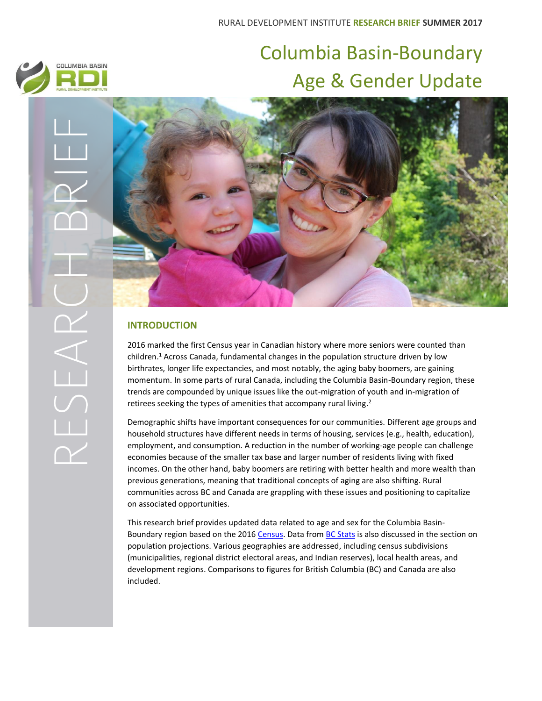# Columbia Basin-Boundary Age & Gender Update



COLUMBIA BASIN



# **INTRODUCTION**

2016 marked the first Census year in Canadian history where more seniors were counted than children. <sup>1</sup> Across Canada, fundamental changes in the population structure driven by low birthrates, longer life expectancies, and most notably, the aging baby boomers, are gaining momentum. In some parts of rural Canada, including the Columbia Basin-Boundary region, these trends are compounded by unique issues like the out-migration of youth and in-migration of retirees seeking the types of amenities that accompany rural living.<sup>2</sup>

Demographic shifts have important consequences for our communities. Different age groups and household structures have different needs in terms of housing, services (e.g., health, education), employment, and consumption. A reduction in the number of working-age people can challenge economies because of the smaller tax base and larger number of residents living with fixed incomes. On the other hand, baby boomers are retiring with better health and more wealth than previous generations, meaning that traditional concepts of aging are also shifting. Rural communities across BC and Canada are grappling with these issues and positioning to capitalize on associated opportunities.

This research brief provides updated data related to age and sex for the Columbia Basin-Boundary region based on the 201[6 Census.](http://www12.statcan.gc.ca/census-recensement/index-eng.cfm) Data from [BC Stats](http://www2.gov.bc.ca/gov/content/data/statistics/people-population-community/population/population-projections) is also discussed in the section on population projections. Various geographies are addressed, including census subdivisions (municipalities, regional district electoral areas, and Indian reserves), local health areas, and development regions. Comparisons to figures for British Columbia (BC) and Canada are also included.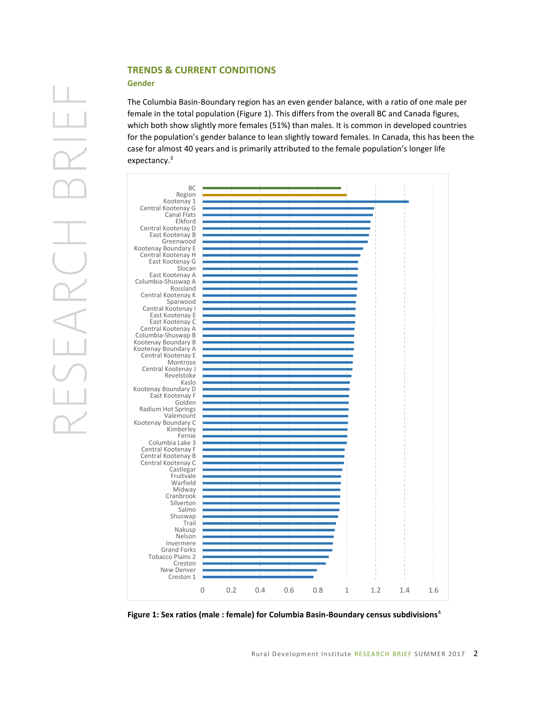# **TRENDS & CURRENT CONDITIONS**

#### **Gender**

The Columbia Basin-Boundary region has an even gender balance, with a ratio of one male per female in the total population (Figure 1). This differs from the overall BC and Canada figures, which both show slightly more females (51%) than males. It is common in developed countries for the population's gender balance to lean slightly toward females. In Canada, this has been the case for almost 40 years and is primarily attributed to the female population's longer life expectancy.<sup>3</sup>



**Figure 1: Sex ratios (male : female) for Columbia Basin-Boundary census subdivisions**<sup>4</sup>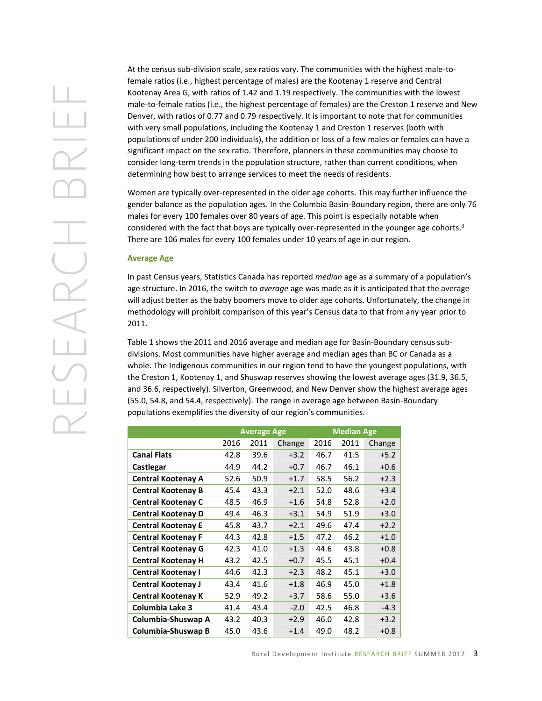At the census sub-division scale, sex ratios vary. The communities with the highest male-tofemale ratios (i.e., highest percentage of males) are the Kootenay 1 reserve and Central Kootenay Area G, with ratios of 1.42 and 1.19 respectively. The communities with the lowest male-to-female ratios (i.e., the highest percentage of females) are the Creston 1 reserve and New Denver, with ratios of 0.77 and 0.79 respectively. It is important to note that for communities with very small populations, including the Kootenay 1 and Creston 1 reserves (both with populations of under 200 individuals), the addition or loss of a few males or females can have a significant impact on the sex ratio. Therefore, planners in these communities may choose to consider long-term trends in the population structure, rather than current conditions, when determining how best to arrange services to meet the needs of residents.

Women are typically over-represented in the older age cohorts. This may further influence the gender balance as the population ages. In the Columbia Basin-Boundary region, there are only 76 males for every 100 females over 80 years of age. This point is especially notable when considered with the fact that boys are typically over-represented in the younger age cohorts.<sup>3</sup> There are 106 males for every 100 females under 10 years of age in our region.

#### **Average Age**

In past Census years, Statistics Canada has reported *median* age as a summary of a population's age structure. In 2016, the switch to *average* age was made as it is anticipated that the average will adjust better as the baby boomers move to older age cohorts. Unfortunately, the change in methodology will prohibit comparison of this year's Census data to that from any year prior to 2011.

Table 1 shows the 2011 and 2016 average and median age for Basin-Boundary census subdivisions. Most communities have higher average and median ages than BC or Canada as a whole. The Indigenous communities in our region tend to have the youngest populations, with the Creston 1, Kootenay 1, and Shuswap reserves showing the lowest average ages (31.9, 36.5, and 36.6, respectively). Silverton, Greenwood, and New Denver show the highest average ages (55.0, 54.8, and 54.4, respectively). The range in average age between Basin-Boundary populations exemplifies the diversity of our region's communities.

|                           | <b>Average Age</b> |      |        | <b>Median Age</b> |      |        |
|---------------------------|--------------------|------|--------|-------------------|------|--------|
|                           | 2016               | 2011 | Change | 2016              | 2011 | Change |
| <b>Canal Flats</b>        | 42.8               | 39.6 | $+3.2$ | 46.7              | 41.5 | $+5.2$ |
| Castlegar                 | 44.9               | 44.2 | $+0.7$ | 46.7              | 46.1 | $+0.6$ |
| <b>Central Kootenay A</b> | 52.6               | 50.9 | $+1.7$ | 58.5              | 56.2 | $+2.3$ |
| <b>Central Kootenay B</b> | 45.4               | 43.3 | $+2.1$ | 52.0              | 48.6 | $+3.4$ |
| <b>Central Kootenay C</b> | 48.5               | 46.9 | $+1.6$ | 54.8              | 52.8 | $+2.0$ |
| <b>Central Kootenay D</b> | 49.4               | 46.3 | $+3.1$ | 54.9              | 51.9 | $+3.0$ |
| <b>Central Kootenay E</b> | 45.8               | 43.7 | $+2.1$ | 49.6              | 47.4 | $+2.2$ |
| <b>Central Kootenay F</b> | 44.3               | 42.8 | $+1.5$ | 47.2              | 46.2 | $+1.0$ |
| <b>Central Kootenay G</b> | 42.3               | 41.0 | $+1.3$ | 44.6              | 43.8 | $+0.8$ |
| <b>Central Kootenay H</b> | 43.2               | 42.5 | $+0.7$ | 45.5              | 45.1 | $+0.4$ |
| <b>Central Kootenay I</b> | 44.6               | 42.3 | $+2.3$ | 48.2              | 45.1 | $+3.0$ |
| <b>Central Kootenay J</b> | 43.4               | 41.6 | $+1.8$ | 46.9              | 45.0 | $+1.8$ |
| <b>Central Kootenay K</b> | 52.9               | 49.2 | $+3.7$ | 58.6              | 55.0 | $+3.6$ |
| Columbia Lake 3           | 41.4               | 43.4 | $-2.0$ | 42.5              | 46.8 | $-4.3$ |
| Columbia-Shuswap A        | 43.2               | 40.3 | $+2.9$ | 46.0              | 42.8 | $+3.2$ |
| Columbia-Shuswap B        | 45.0               | 43.6 | $+1.4$ | 49.0              | 48.2 | $+0.8$ |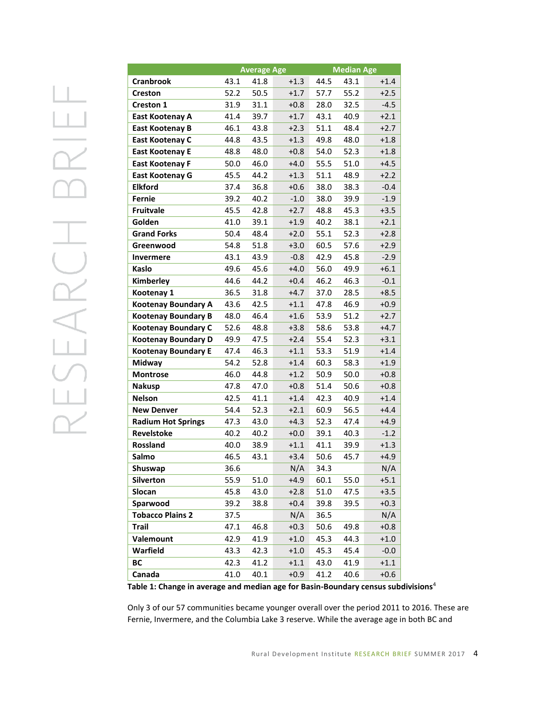|                            | <b>Average Age</b> |      |        | <b>Median Age</b> |      |        |
|----------------------------|--------------------|------|--------|-------------------|------|--------|
| <b>Cranbrook</b>           | 43.1               | 41.8 | $+1.3$ | 44.5              | 43.1 | $+1.4$ |
| <b>Creston</b>             | 52.2               | 50.5 | $+1.7$ | 57.7              | 55.2 | $+2.5$ |
| <b>Creston 1</b>           | 31.9               | 31.1 | +0.8   | 28.0              | 32.5 | $-4.5$ |
| East Kootenay A            | 41.4               | 39.7 | $+1.7$ | 43.1              | 40.9 | $+2.1$ |
| <b>East Kootenay B</b>     | 46.1               | 43.8 | $+2.3$ | 51.1              | 48.4 | $+2.7$ |
| East Kootenay C            | 44.8               | 43.5 | $+1.3$ | 49.8              | 48.0 | $+1.8$ |
| <b>East Kootenay E</b>     | 48.8               | 48.0 | $+0.8$ | 54.0              | 52.3 | $+1.8$ |
| <b>East Kootenay F</b>     | 50.0               | 46.0 | $+4.0$ | 55.5              | 51.0 | $+4.5$ |
| <b>East Kootenay G</b>     | 45.5               | 44.2 | $+1.3$ | 51.1              | 48.9 | $+2.2$ |
| <b>Elkford</b>             | 37.4               | 36.8 | $+0.6$ | 38.0              | 38.3 | $-0.4$ |
| <b>Fernie</b>              | 39.2               | 40.2 | $-1.0$ | 38.0              | 39.9 | $-1.9$ |
| <b>Fruitvale</b>           | 45.5               | 42.8 | $+2.7$ | 48.8              | 45.3 | $+3.5$ |
| Golden                     | 41.0               | 39.1 | $+1.9$ | 40.2              | 38.1 | $+2.1$ |
| <b>Grand Forks</b>         | 50.4               | 48.4 | $+2.0$ | 55.1              | 52.3 | $+2.8$ |
| Greenwood                  | 54.8               | 51.8 | $+3.0$ | 60.5              | 57.6 | $+2.9$ |
| <b>Invermere</b>           | 43.1               | 43.9 | $-0.8$ | 42.9              | 45.8 | $-2.9$ |
| Kaslo                      | 49.6               | 45.6 | $+4.0$ | 56.0              | 49.9 | $+6.1$ |
| Kimberley                  | 44.6               | 44.2 | $+0.4$ | 46.2              | 46.3 | $-0.1$ |
| Kootenay 1                 | 36.5               | 31.8 | $+4.7$ | 37.0              | 28.5 | $+8.5$ |
| <b>Kootenay Boundary A</b> | 43.6               | 42.5 | $+1.1$ | 47.8              | 46.9 | $+0.9$ |
| <b>Kootenay Boundary B</b> | 48.0               | 46.4 | $+1.6$ | 53.9              | 51.2 | $+2.7$ |
| <b>Kootenay Boundary C</b> | 52.6               | 48.8 | $+3.8$ | 58.6              | 53.8 | $+4.7$ |
| <b>Kootenay Boundary D</b> | 49.9               | 47.5 | $+2.4$ | 55.4              | 52.3 | $+3.1$ |
| <b>Kootenay Boundary E</b> | 47.4               | 46.3 | $+1.1$ | 53.3              | 51.9 | $+1.4$ |
| <b>Midway</b>              | 54.2               | 52.8 | $+1.4$ | 60.3              | 58.3 | $+1.9$ |
| <b>Montrose</b>            | 46.0               | 44.8 | $+1.2$ | 50.9              | 50.0 | $+0.8$ |
| <b>Nakusp</b>              | 47.8               | 47.0 | $+0.8$ | 51.4              | 50.6 | $+0.8$ |
| <b>Nelson</b>              | 42.5               | 41.1 | $+1.4$ | 42.3              | 40.9 | $+1.4$ |
| <b>New Denver</b>          | 54.4               | 52.3 | $+2.1$ | 60.9              | 56.5 | $+4.4$ |
| <b>Radium Hot Springs</b>  | 47.3               | 43.0 | $+4.3$ | 52.3              | 47.4 | $+4.9$ |
| Revelstoke                 | 40.2               | 40.2 | $+0.0$ | 39.1              | 40.3 | $-1.2$ |
| <b>Rossland</b>            | 40.0               | 38.9 | $+1.1$ | 41.1              | 39.9 | $+1.3$ |
| Salmo                      | 46.5               | 43.1 | $+3.4$ | 50.6              | 45.7 | $+4.9$ |
| Shuswap                    | 36.6               |      | N/A    | 34.3              |      | N/A    |
| Silverton                  | 55.9               | 51.0 | $+4.9$ | 60.1              | 55.0 | $+5.1$ |
| Slocan                     | 45.8               | 43.0 | $+2.8$ | 51.0              | 47.5 | $+3.5$ |
| Sparwood                   | 39.2               | 38.8 | $+0.4$ | 39.8              | 39.5 | $+0.3$ |
| <b>Tobacco Plains 2</b>    | 37.5               |      | N/A    | 36.5              |      | N/A    |
| <b>Trail</b>               | 47.1               | 46.8 | $+0.3$ | 50.6              | 49.8 | $+0.8$ |
| Valemount                  | 42.9               | 41.9 | $+1.0$ | 45.3              | 44.3 | $+1.0$ |
| Warfield                   | 43.3               | 42.3 | $+1.0$ | 45.3              | 45.4 | $-0.0$ |
| BC                         | 42.3               | 41.2 | $+1.1$ | 43.0              | 41.9 | $+1.1$ |
| Canada                     | 41.0               | 40.1 | $+0.9$ | 41.2              | 40.6 | $+0.6$ |

**Table 1: Change in average and median age for Basin-Boundary census subdivisions**<sup>4</sup>

Only 3 of our 57 communities became younger overall over the period 2011 to 2016. These are Fernie, Invermere, and the Columbia Lake 3 reserve. While the average age in both BC and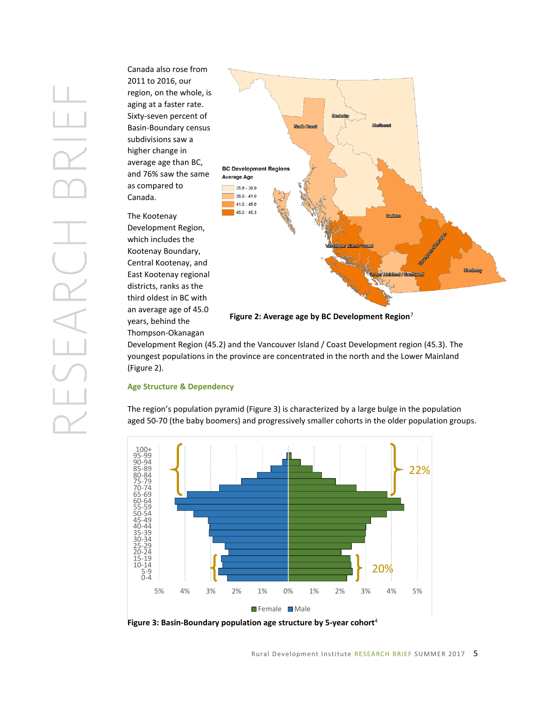Canada also rose from 2011 to 2016, our region, on the whole, is aging at a faster rate. Sixty-seven percent of Basin-Boundary census subdivisions saw a higher change in average age than BC, and 76% saw the same as compared to Canada.



The Kootenay

which includes the

Kootenay Boundary, Central Kootenay, and East Kootenay regional districts, ranks as the third oldest in BC with an average age of 45.0 years, behind the Thompson-Okanagan

**Figure 2: Average age by BC Development Region**<sup>7</sup>

Development Region (45.2) and the Vancouver Island / Coast Development region (45.3). The youngest populations in the province are concentrated in the north and the Lower Mainland (Figure 2).

### **Age Structure & Dependency**

The region's population pyramid (Figure 3) is characterized by a large bulge in the population aged 50-70 (the baby boomers) and progressively smaller cohorts in the older population groups.



**Figure 3: Basin-Boundary population age structure by 5-year cohort**<sup>4</sup>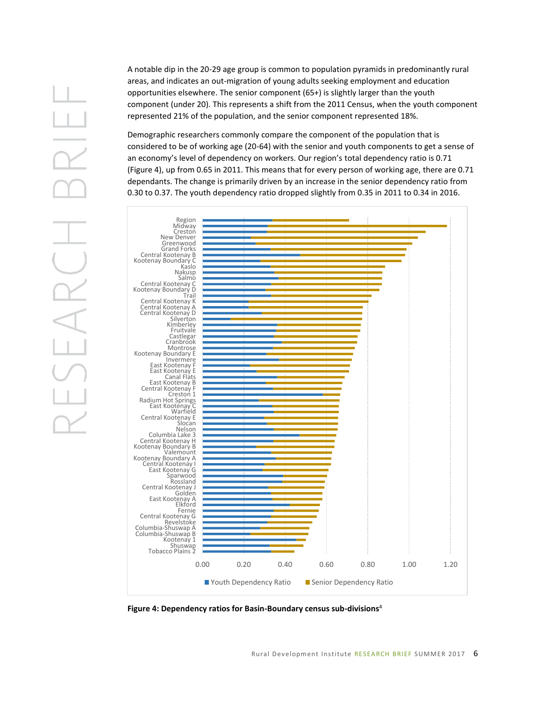A notable dip in the 20-29 age group is common to population pyramids in predominantly rural areas, and indicates an out-migration of young adults seeking employment and education opportunities elsewhere. The senior component (65+) is slightly larger than the youth component (under 20). This represents a shift from the 2011 Census, when the youth component represented 21% of the population, and the senior component represented 18%.

Demographic researchers commonly compare the component of the population that is considered to be of working age (20-64) with the senior and youth components to get a sense of an economy's level of dependency on workers. Our region's total dependency ratio is 0.71 (Figure 4), up from 0.65 in 2011. This means that for every person of working age, there are 0.71 dependants. The change is primarily driven by an increase in the senior dependency ratio from 0.30 to 0.37. The youth dependency ratio dropped slightly from 0.35 in 2011 to 0.34 in 2016.



**Figure 4: Dependency ratios for Basin-Boundary census sub-divisions**<sup>4</sup>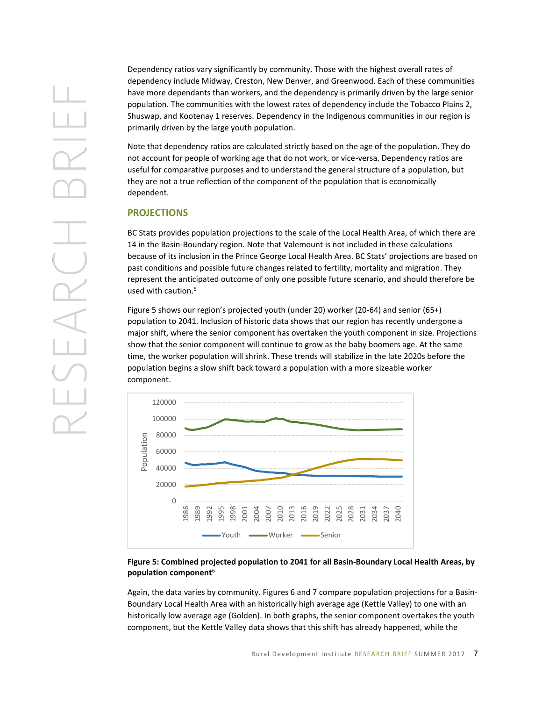Dependency ratios vary significantly by community. Those with the highest overall rates of dependency include Midway, Creston, New Denver, and Greenwood. Each of these communities have more dependants than workers, and the dependency is primarily driven by the large senior population. The communities with the lowest rates of dependency include the Tobacco Plains 2, Shuswap, and Kootenay 1 reserves. Dependency in the Indigenous communities in our region is primarily driven by the large youth population.

Note that dependency ratios are calculated strictly based on the age of the population. They do not account for people of working age that do not work, or vice-versa. Dependency ratios are useful for comparative purposes and to understand the general structure of a population, but they are not a true reflection of the component of the population that is economically dependent.

### **PROJECTIONS**

BC Stats provides population projections to the scale of the Local Health Area, of which there are 14 in the Basin-Boundary region. Note that Valemount is not included in these calculations because of its inclusion in the Prince George Local Health Area. BC Stats' projections are based on past conditions and possible future changes related to fertility, mortality and migration. They represent the anticipated outcome of only one possible future scenario, and should therefore be used with caution. 5

Figure 5 shows our region's projected youth (under 20) worker (20-64) and senior (65+) population to 2041. Inclusion of historic data shows that our region has recently undergone a major shift, where the senior component has overtaken the youth component in size. Projections show that the senior component will continue to grow as the baby boomers age. At the same time, the worker population will shrink. These trends will stabilize in the late 2020s before the population begins a slow shift back toward a population with a more sizeable worker component.



#### **Figure 5: Combined projected population to 2041 for all Basin-Boundary Local Health Areas, by population component**<sup>6</sup>

Again, the data varies by community. Figures 6 and 7 compare population projections for a Basin-Boundary Local Health Area with an historically high average age (Kettle Valley) to one with an historically low average age (Golden). In both graphs, the senior component overtakes the youth component, but the Kettle Valley data shows that this shift has already happened, while the